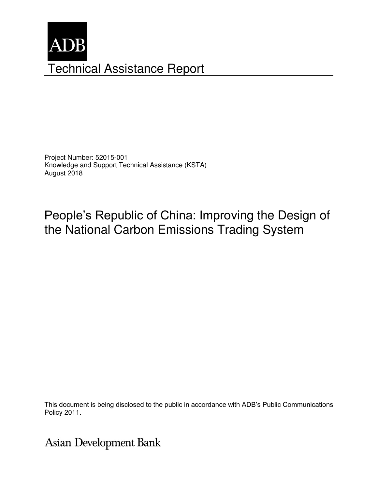

Project Number: 52015-001 Knowledge and Support Technical Assistance (KSTA) August 2018

People's Republic of China: Improving the Design of the National Carbon Emissions Trading System

This document is being disclosed to the public in accordance with ADB's Public Communications Policy 2011.

Asian Development Bank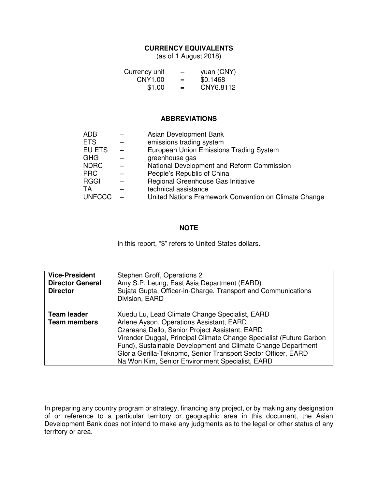## **CURRENCY EQUIVALENTS**

(as of 1 August 2018)

| Currency unit | -   | yuan (CNY) |
|---------------|-----|------------|
| CNY1.00       | $=$ | \$0.1468   |
| \$1.00        | $=$ | CNY6.8112  |

## **ABBREVIATIONS**

| ADB           | Asian Development Bank                                |
|---------------|-------------------------------------------------------|
| <b>ETS</b>    | emissions trading system                              |
| EU ETS        | European Union Emissions Trading System               |
| GHG           | greenhouse gas                                        |
| NDRC          | National Development and Reform Commission            |
| <b>PRC</b>    | People's Republic of China                            |
| <b>RGGI</b>   | Regional Greenhouse Gas Initiative                    |
| TA            | technical assistance                                  |
| <b>UNFCCC</b> | United Nations Framework Convention on Climate Change |

# **NOTE**

In this report, "\$" refers to United States dollars.

| <b>Vice-President</b><br><b>Director General</b><br><b>Director</b> | Stephen Groff, Operations 2<br>Amy S.P. Leung, East Asia Department (EARD)<br>Sujata Gupta, Officer-in-Charge, Transport and Communications<br>Division, EARD                                                                                                                                                                                                                                           |
|---------------------------------------------------------------------|---------------------------------------------------------------------------------------------------------------------------------------------------------------------------------------------------------------------------------------------------------------------------------------------------------------------------------------------------------------------------------------------------------|
| <b>Team leader</b><br><b>Team members</b>                           | Xuedu Lu, Lead Climate Change Specialist, EARD<br>Arlene Ayson, Operations Assistant, EARD<br>Czareana Dello, Senior Project Assistant, EARD<br>Virender Duggal, Principal Climate Change Specialist (Future Carbon<br>Fund), Sustainable Development and Climate Change Department<br>Gloria Gerilla-Teknomo, Senior Transport Sector Officer, EARD<br>Na Won Kim, Senior Environment Specialist, EARD |

In preparing any country program or strategy, financing any project, or by making any designation of or reference to a particular territory or geographic area in this document, the Asian Development Bank does not intend to make any judgments as to the legal or other status of any territory or area.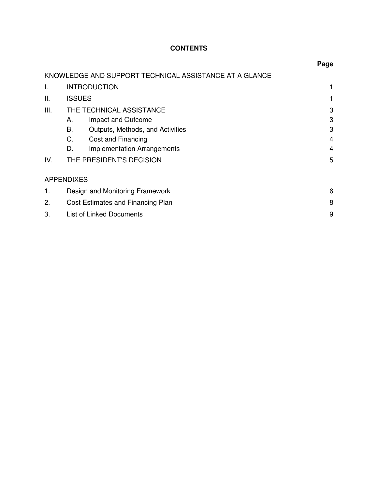# **CONTENTS**

|      |                                                        | Page |
|------|--------------------------------------------------------|------|
|      | KNOWLEDGE AND SUPPORT TECHNICAL ASSISTANCE AT A GLANCE |      |
| Τ.   | <b>INTRODUCTION</b>                                    |      |
| Ш.   | <b>ISSUES</b>                                          |      |
| III. | THE TECHNICAL ASSISTANCE                               | 3    |
|      | Impact and Outcome<br>А.                               | 3    |
|      | В.<br>Outputs, Methods, and Activities                 | 3    |
|      | C.<br>Cost and Financing                               | 4    |
|      | <b>Implementation Arrangements</b><br>D.               | 4    |
| IV.  | THE PRESIDENT'S DECISION                               | 5    |
|      | <b>APPENDIXES</b>                                      |      |
| 1.   | Design and Monitoring Framework                        | 6    |
| 2.   | Cost Estimates and Financing Plan                      | 8    |
| 3.   | List of Linked Documents                               | 9    |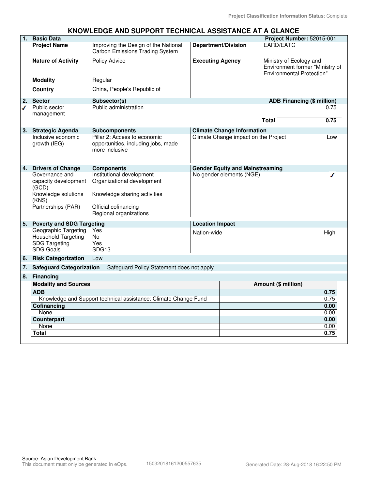## **KNOWLEDGE AND SUPPORT TECHNICAL ASSISTANCE AT A GLANCE**

| EARD/EATC<br>Improving the Design of the National<br><b>Department/Division</b><br><b>Project Name</b><br><b>Carbon Emissions Trading System</b><br><b>Nature of Activity</b><br>Policy Advice<br><b>Executing Agency</b><br>Ministry of Ecology and                           |                                   |
|--------------------------------------------------------------------------------------------------------------------------------------------------------------------------------------------------------------------------------------------------------------------------------|-----------------------------------|
|                                                                                                                                                                                                                                                                                |                                   |
| <b>Environmental Protection"</b>                                                                                                                                                                                                                                               | Environment former "Ministry of   |
| Regular<br><b>Modality</b>                                                                                                                                                                                                                                                     |                                   |
| China, People's Republic of<br>Country                                                                                                                                                                                                                                         |                                   |
| <b>Sector</b><br>2.<br>Subsector(s)                                                                                                                                                                                                                                            | <b>ADB Financing (\$ million)</b> |
| Public administration<br>Public sector<br>ℐ<br>management<br><b>Total</b>                                                                                                                                                                                                      | 0.75<br>0.75                      |
|                                                                                                                                                                                                                                                                                |                                   |
| <b>Climate Change Information</b><br>3.<br><b>Strategic Agenda</b><br><b>Subcomponents</b>                                                                                                                                                                                     |                                   |
| Inclusive economic<br>Pillar 2: Access to economic<br>Climate Change impact on the Project<br>growth (IEG)<br>opportunities, including jobs, made<br>more inclusive                                                                                                            | Low                               |
| <b>Drivers of Change</b><br><b>Components</b><br><b>Gender Equity and Mainstreaming</b><br>4.                                                                                                                                                                                  |                                   |
| Institutional development<br>No gender elements (NGE)<br>Governance and<br>Organizational development<br>capacity development<br>(GCD)<br>Knowledge solutions<br>Knowledge sharing activities<br>(KNS)<br>Partnerships (PAR)<br>Official cofinancing<br>Regional organizations |                                   |
| 5.<br><b>Poverty and SDG Targeting</b><br><b>Location Impact</b>                                                                                                                                                                                                               |                                   |
| Geographic Targeting<br>Yes<br>Nation-wide<br><b>Household Targeting</b><br><b>No</b><br><b>SDG Targeting</b><br>Yes<br><b>SDG Goals</b><br>SDG13                                                                                                                              | High                              |
| <b>Risk Categorization</b><br>Low<br>6.                                                                                                                                                                                                                                        |                                   |
| <b>Safeguard Categorization</b><br>Safeguard Policy Statement does not apply<br>7.                                                                                                                                                                                             |                                   |
| 8.<br><b>Financing</b>                                                                                                                                                                                                                                                         |                                   |
| <b>Modality and Sources</b><br><b>Amount (\$ million)</b>                                                                                                                                                                                                                      |                                   |
| <b>ADB</b>                                                                                                                                                                                                                                                                     | 0.75                              |
| Knowledge and Support technical assistance: Climate Change Fund                                                                                                                                                                                                                | 0.75                              |
| Cofinancing                                                                                                                                                                                                                                                                    | 0.00                              |
| None                                                                                                                                                                                                                                                                           | 0.00                              |
| Counterpart                                                                                                                                                                                                                                                                    | 0.00                              |
|                                                                                                                                                                                                                                                                                |                                   |
| None<br><b>Total</b>                                                                                                                                                                                                                                                           | 0.00<br>0.75                      |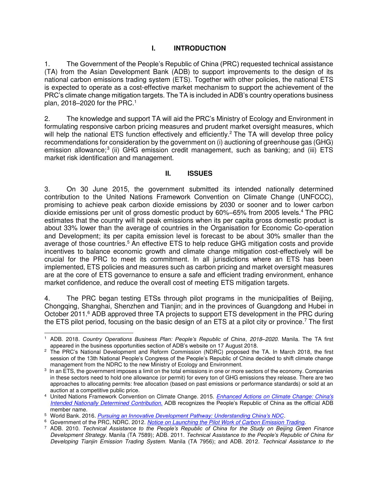## **I. INTRODUCTION**

1. The Government of the People's Republic of China (PRC) requested technical assistance (TA) from the Asian Development Bank (ADB) to support improvements to the design of its national carbon emissions trading system (ETS). Together with other policies, the national ETS is expected to operate as a cost-effective market mechanism to support the achievement of the PRC's climate change mitigation targets. The TA is included in ADB's country operations business plan, 2018–2020 for the PRC.<sup>1</sup>

2. The knowledge and support TA will aid the PRC's Ministry of Ecology and Environment in formulating responsive carbon pricing measures and prudent market oversight measures, which will help the national ETS function effectively and efficiently.<sup>2</sup> The TA will develop three policy recommendations for consideration by the government on (i) auctioning of greenhouse gas (GHG) emission allowance;<sup>3</sup> (ii) GHG emission credit management, such as banking; and (iii) ETS market risk identification and management.

## **II. ISSUES**

3. On 30 June 2015, the government submitted its intended nationally determined contribution to the United Nations Framework Convention on Climate Change (UNFCCC), promising to achieve peak carbon dioxide emissions by 2030 or sooner and to lower carbon dioxide emissions per unit of gross domestic product by 60%–65% from 2005 levels.<sup>4</sup> The PRC estimates that the country will hit peak emissions when its per capita gross domestic product is about 33% lower than the average of countries in the Organisation for Economic Co-operation and Development; its per capita emission level is forecast to be about 30% smaller than the average of those countries.<sup>5</sup> An effective ETS to help reduce GHG mitigation costs and provide incentives to balance economic growth and climate change mitigation cost-effectively will be crucial for the PRC to meet its commitment. In all jurisdictions where an ETS has been implemented, ETS policies and measures such as carbon pricing and market oversight measures are at the core of ETS governance to ensure a safe and efficient trading environment, enhance market confidence, and reduce the overall cost of meeting ETS mitigation targets.

4. The PRC began testing ETSs through pilot programs in the municipalities of Beijing, Chongqing, Shanghai, Shenzhen and Tianjin; and in the provinces of Guangdong and Hubei in October 2011.<sup>6</sup> ADB approved three TA projects to support ETS development in the PRC during the ETS pilot period, focusing on the basic design of an ETS at a pilot city or province.<sup>7</sup> The first

 $\overline{a}$ 1 ADB. 2018. *Country Operations Business Plan: People's Republic of China*, *2018–2020*. Manila. The TA first appeared in the business opportunities section of ADB's website on 17 August 2018.

<sup>&</sup>lt;sup>2</sup> The PRC's National Development and Reform Commission (NDRC) proposed the TA. In March 2018, the first session of the 13th National People's Congress of the People's Republic of China decided to shift climate change management from the NDRC to the new Ministry of Ecology and Environment.

<sup>3</sup> In an ETS, the government imposes a limit on the total emissions in one or more sectors of the economy. Companies in these sectors need to hold one allowance (or permit) for every ton of GHG emissions they release. There are two approaches to allocating permits: free allocation (based on past emissions or performance standards) or sold at an auction at a competitive public price.

<sup>4</sup> United Nations Framework Convention on Climate Change. 2015. *[Enhanced Actions on Climate Change: China's](http://www4.unfccc.int/Submissions/INDC/Published%20Documents/China/1/China)  [Intended Nationally Determined Contribution](http://www4.unfccc.int/Submissions/INDC/Published%20Documents/China/1/China)*. ADB recognizes the People's Republic of China as the official ADB member name.

<sup>5</sup> World Bank. 2016. *[Pursuing an Innovative Development Pathway: Understanding China's NDC](https://openknowledge.worldbank.org/handle/10986/25749)*.

<sup>6</sup> Government of the PRC, NDRC. 2012. *[Notice on Launching the Pilot Work of Carbon Emission Trading.](http://www.ccchina.org.cn/Detail.aspx?newsId=28133&TId=60)*

<sup>7</sup> ADB. 2010. *Technical Assistance to the People's Republic of China for the Study on Beijing Green Finance Development Strategy*. Manila (TA 7589); ADB. 2011. *Technical Assistance to the People's Republic of China for Developing Tianjin Emission Trading System.* Manila (TA 7956); and ADB. 2012. *Technical Assistance to the*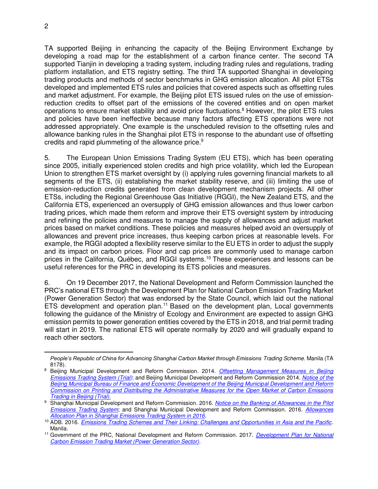TA supported Beijing in enhancing the capacity of the Beijing Environment Exchange by developing a road map for the establishment of a carbon finance center. The second TA supported Tianjin in developing a trading system, including trading rules and regulations, trading platform installation, and ETS registry setting. The third TA supported Shanghai in developing trading products and methods of sector benchmarks in GHG emission allocation. All pilot ETSs developed and implemented ETS rules and policies that covered aspects such as offsetting rules and market adjustment. For example, the Beijing pilot ETS issued rules on the use of emissionreduction credits to offset part of the emissions of the covered entities and on open market operations to ensure market stability and avoid price fluctuations.<sup>8</sup> However, the pilot ETS rules and policies have been ineffective because many factors affecting ETS operations were not addressed appropriately. One example is the unscheduled revision to the offsetting rules and allowance banking rules in the Shanghai pilot ETS in response to the abundant use of offsetting credits and rapid plummeting of the allowance price.<sup>9</sup>

5. The European Union Emissions Trading System (EU ETS), which has been operating since 2005, initially experienced stolen credits and high price volatility, which led the European Union to strengthen ETS market oversight by (i) applying rules governing financial markets to all segments of the ETS, (ii) establishing the market stability reserve, and (iii) limiting the use of emission-reduction credits generated from clean development mechanism projects. All other ETSs, including the Regional Greenhouse Gas Initiative (RGGI), the New Zealand ETS, and the California ETS, experienced an oversupply of GHG emission allowances and thus lower carbon trading prices, which made them reform and improve their ETS oversight system by introducing and refining the policies and measures to manage the supply of allowances and adjust market prices based on market conditions. These policies and measures helped avoid an oversupply of allowances and prevent price increases, thus keeping carbon prices at reasonable levels. For example, the RGGI adopted a flexibility reserve similar to the EU ETS in order to adjust the supply and its impact on carbon prices. Floor and cap prices are commonly used to manage carbon prices in the California, Québec, and RGGI systems.<sup>10</sup> These experiences and lessons can be useful references for the PRC in developing its ETS policies and measures.

6. On 19 December 2017, the National Development and Reform Commission launched the PRC's national ETS through the Development Plan for National Carbon Emission Trading Market (Power Generation Sector) that was endorsed by the State Council, which laid out the national ETS development and operation plan.<sup>11</sup> Based on the development plan, Local governments following the guidance of the Ministry of Ecology and Environment are expected to assign GHG emission permits to power generation entities covered by the ETS in 2018, and trial permit trading will start in 2019. The national ETS will operate normally by 2020 and will gradually expand to reach other sectors.

 $\overline{a}$ 

*People's Republic of China for Advancing Shanghai Carbon Market through Emissions Trading Scheme*. Manila (TA 8178).

<sup>8</sup> Beijing Municipal Development and Reform Commission. 2014. *[Offsetting Management Measures in Beijing](http://zhengce.beijing.gov.cn/library/192/33/50/438650/101681/index.html)  [Emissions Trading System \(Trial\)](http://zhengce.beijing.gov.cn/library/192/33/50/438650/101681/index.html)*; and Beijing Municipal Development and Reform Commission 2014. *[Notice of the](http://zfxxgk.beijing.gov.cn/110002/gfxwj22/2014-06/18/content_482669.shtml)  [Beijing Municipal Bureau of Finance and Economic Development of the Beijing Municipal Development and Reform](http://zfxxgk.beijing.gov.cn/110002/gfxwj22/2014-06/18/content_482669.shtml)  [Commission on Printing and Distributing the Administrative Measures for the Open Market of Carbon Emissions](http://zfxxgk.beijing.gov.cn/110002/gfxwj22/2014-06/18/content_482669.shtml)  [Trading in Beijing \(Trial\)](http://zfxxgk.beijing.gov.cn/110002/gfxwj22/2014-06/18/content_482669.shtml)*.

<sup>9</sup> Shanghai Municipal Development and Reform Commission. 2016. *[Notice on the Banking of Allowances in the Pilot](http://www.shdrc.gov.cn/xxgk/cxxxgk/23507.htm)  [Emissions Trading System](http://www.shdrc.gov.cn/xxgk/cxxxgk/23507.htm)*; and Shanghai Municipal Development and Reform Commission. 2016. *[Allowances](http://www.shdrc.gov.cn/fzgggz/nyglhjnjb/zcwj/24839.htm)  [Allocation Plan in Shanghai Emissions Trading System in 2016](http://www.shdrc.gov.cn/fzgggz/nyglhjnjb/zcwj/24839.htm)*.

<sup>10</sup> ADB. 2016. *[Emissions Trading Schemes and Their Linking: Challenges and Opportunities in Asia and the Pacific](https://www.adb.org/publications/emissions-trading-schemes-and-their-linking)*. Manila.

<sup>11</sup> Government of the PRC, National Development and Reform Commission. 2017. *[Development Plan for National](http://qhs.ndrc.gov.cn/qjfzjz/201712/t20171220_871258.html)  [Carbon Emission Trading Market \(Power Generation Sector\).](http://qhs.ndrc.gov.cn/qjfzjz/201712/t20171220_871258.html)*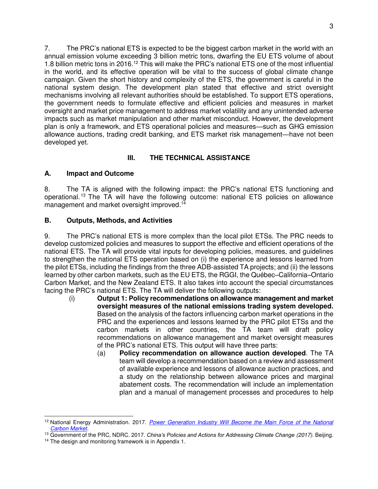7. The PRC's national ETS is expected to be the biggest carbon market in the world with an annual emission volume exceeding 3 billion metric tons, dwarfing the EU ETS volume of about 1.8 billion metric tons in 2016.<sup>12</sup> This will make the PRC's national ETS one of the most influential in the world, and its effective operation will be vital to the success of global climate change campaign. Given the short history and complexity of the ETS, the government is careful in the national system design. The development plan stated that effective and strict oversight mechanisms involving all relevant authorities should be established. To support ETS operations, the government needs to formulate effective and efficient policies and measures in market oversight and market price management to address market volatility and any unintended adverse impacts such as market manipulation and other market misconduct. However, the development plan is only a framework, and ETS operational policies and measures—such as GHG emission allowance auctions, trading credit banking, and ETS market risk management—have not been developed yet.

# **III. THE TECHNICAL ASSISTANCE**

# **A. Impact and Outcome**

8. The TA is aligned with the following impact: the PRC's national ETS functioning and operational. <sup>13</sup> The TA will have the following outcome: national ETS policies on allowance management and market oversight improved.<sup>14</sup>

## **B. Outputs, Methods, and Activities**

9. The PRC's national ETS is more complex than the local pilot ETSs. The PRC needs to develop customized policies and measures to support the effective and efficient operations of the national ETS. The TA will provide vital inputs for developing policies, measures, and guidelines to strengthen the national ETS operation based on (i) the experience and lessons learned from the pilot ETSs, including the findings from the three ADB-assisted TA projects; and (ii) the lessons learned by other carbon markets, such as the EU ETS, the RGGI, the Québec–California–Ontario Carbon Market, and the New Zealand ETS. It also takes into account the special circumstances facing the PRC's national ETS. The TA will deliver the following outputs:

- (i) **Output 1: Policy recommendations on allowance management and market oversight measures of the national emissions trading system developed.** Based on the analysis of the factors influencing carbon market operations in the PRC and the experiences and lessons learned by the PRC pilot ETSs and the carbon markets in other countries, the TA team will draft policy recommendations on allowance management and market oversight measures of the PRC's national ETS. This output will have three parts:
	- (a) **Policy recommendation on allowance auction developed**. The TA team will develop a recommendation based on a review and assessment of available experience and lessons of allowance auction practices, and a study on the relationship between allowance prices and marginal abatement costs. The recommendation will include an implementation plan and a manual of management processes and procedures to help

 $\overline{a}$ <sup>12</sup> National Energy Administration. 2017. *[Power Generation Industry Will Become the Main Force of the National](http://www.nea.gov.cn/2017-12/27/c_136855155.htm)  [Carbon Market](http://www.nea.gov.cn/2017-12/27/c_136855155.htm)*.

<sup>13</sup> Government of the PRC, NDRC. 2017. *China's Policies and Actions for Addressing Climate Change (2017)*. Beijing.

<sup>&</sup>lt;sup>14</sup> The design and monitoring framework is in Appendix 1.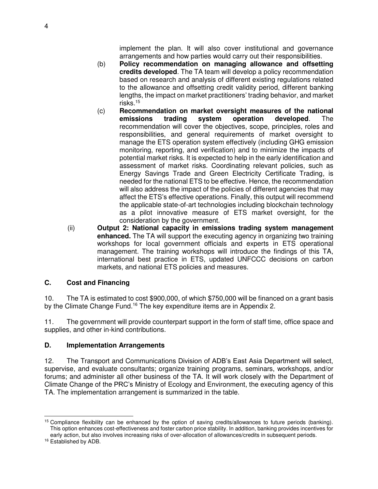implement the plan. It will also cover institutional and governance arrangements and how parties would carry out their responsibilities.

- (b) **Policy recommendation on managing allowance and offsetting credits developed**. The TA team will develop a policy recommendation based on research and analysis of different existing regulations related to the allowance and offsetting credit validity period, different banking lengths, the impact on market practitioners' trading behavior, and market risks.<sup>15</sup>
- (c) **Recommendation on market oversight measures of the national emissions trading system operation developed**. The recommendation will cover the objectives, scope, principles, roles and responsibilities, and general requirements of market oversight to manage the ETS operation system effectively (including GHG emission monitoring, reporting, and verification) and to minimize the impacts of potential market risks. It is expected to help in the early identification and assessment of market risks. Coordinating relevant policies, such as Energy Savings Trade and Green Electricity Certificate Trading, is needed for the national ETS to be effective. Hence, the recommendation will also address the impact of the policies of different agencies that may affect the ETS's effective operations. Finally, this output will recommend the applicable state-of-art technologies including blockchain technology as a pilot innovative measure of ETS market oversight, for the consideration by the government.
- (ii) **Output 2: National capacity in emissions trading system management enhanced.** The TA will support the executing agency in organizing two training workshops for local government officials and experts in ETS operational management. The training workshops will introduce the findings of this TA, international best practice in ETS, updated UNFCCC decisions on carbon markets, and national ETS policies and measures.

# **C. Cost and Financing**

10. The TA is estimated to cost \$900,000, of which \$750,000 will be financed on a grant basis by the Climate Change Fund.<sup>16</sup> The key expenditure items are in Appendix 2.

11. The government will provide counterpart support in the form of staff time, office space and supplies, and other in-kind contributions.

# **D. Implementation Arrangements**

12. The Transport and Communications Division of ADB's East Asia Department will select, supervise, and evaluate consultants; organize training programs, seminars, workshops, and/or forums; and administer all other business of the TA. It will work closely with the Department of Climate Change of the PRC's Ministry of Ecology and Environment, the executing agency of this TA. The implementation arrangement is summarized in the table.

 $\overline{a}$ <sup>15</sup> Compliance flexibility can be enhanced by the option of saving credits/allowances to future periods (banking). This option enhances cost-effectiveness and foster carbon price stability. In addition, banking provides incentives for early action, but also involves increasing risks of over-allocation of allowances/credits in subsequent periods.

<sup>16</sup> Established by ADB.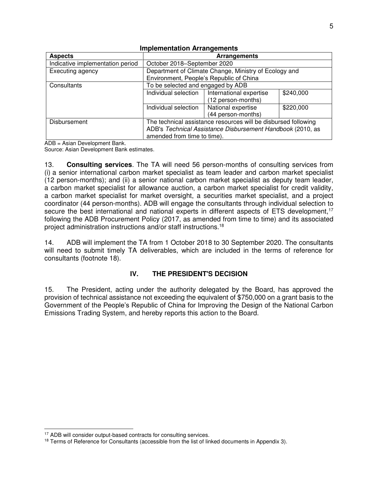| <b>Aspects</b>                   | <b>Arrangements</b>                                            |                         |           |
|----------------------------------|----------------------------------------------------------------|-------------------------|-----------|
|                                  |                                                                |                         |           |
| Indicative implementation period | October 2018-September 2020                                    |                         |           |
| Executing agency                 | Department of Climate Change, Ministry of Ecology and          |                         |           |
|                                  | Environment, People's Republic of China                        |                         |           |
| Consultants                      | To be selected and engaged by ADB                              |                         |           |
|                                  | Individual selection                                           | International expertise | \$240,000 |
|                                  |                                                                | (12 person-months)      |           |
|                                  | Individual selection                                           | National expertise      | \$220,000 |
|                                  |                                                                | (44 person-months)      |           |
| Disbursement                     | The technical assistance resources will be disbursed following |                         |           |
|                                  | ADB's Technical Assistance Disbursement Handbook (2010, as     |                         |           |
|                                  | amended from time to time).                                    |                         |           |

#### **Implementation Arrangements**

ADB = Asian Development Bank.

Source: Asian Development Bank estimates.

13. **Consulting services**. The TA will need 56 person-months of consulting services from (i) a senior international carbon market specialist as team leader and carbon market specialist (12 person-months); and (ii) a senior national carbon market specialist as deputy team leader, a carbon market specialist for allowance auction, a carbon market specialist for credit validity, a carbon market specialist for market oversight, a securities market specialist, and a project coordinator (44 person-months). ADB will engage the consultants through individual selection to secure the best international and national experts in different aspects of ETS development.<sup>17</sup> following the ADB Procurement Policy (2017, as amended from time to time) and its associated project administration instructions and/or staff instructions.<sup>18</sup>

14. ADB will implement the TA from 1 October 2018 to 30 September 2020. The consultants will need to submit timely TA deliverables, which are included in the terms of reference for consultants (footnote 18).

## **IV. THE PRESIDENT'S DECISION**

15. The President, acting under the authority delegated by the Board, has approved the provision of technical assistance not exceeding the equivalent of \$750,000 on a grant basis to the Government of the People's Republic of China for Improving the Design of the National Carbon Emissions Trading System, and hereby reports this action to the Board.

 $\overline{a}$ 

<sup>&</sup>lt;sup>17</sup> ADB will consider output-based contracts for consulting services.

<sup>&</sup>lt;sup>18</sup> Terms of Reference for Consultants (accessible from the list of linked documents in Appendix 3).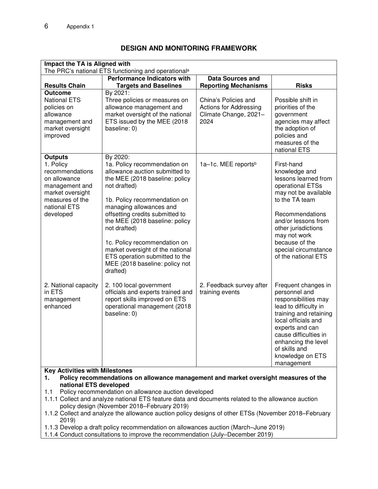#### **Impact the TA is Aligned with**  The PRC's national ETS functioning and operational<sup>a</sup> **Results Chain Performance Indicators with Targets and Baselines Data Sources and Reporting Mechanisms Risks Outcome** By 2021: National ETS policies on allowance management and market oversight improved Three policies or measures on allowance management and market oversight of the national ETS issued by the MEE (2018 baseline: 0) China's Policies and Actions for Addressing Climate Change, 2021– 2024 Possible shift in priorities of the government agencies may affect the adoption of policies and measures of the national ETS **Outputs**  1. Policy recommendations on allowance management and market oversight measures of the national ETS developed 2. National capacity in ETS management enhanced By 2020: 1a. Policy recommendation on allowance auction submitted to the MEE (2018 baseline: policy not drafted) 1b. Policy recommendation on managing allowances and offsetting credits submitted to the MEE (2018 baseline: policy not drafted) 1c. Policy recommendation on market oversight of the national ETS operation submitted to the MEE (2018 baseline: policy not drafted) 2. 100 local government officials and experts trained and report skills improved on ETS operational management (2018 baseline: 0) 1a–1c. MEE reports<sup>b</sup> 2. Feedback survey after training events First-hand knowledge and lessons learned from operational ETSs may not be available to the TA team Recommendations and/or lessons from other jurisdictions may not work because of the special circumstance of the national ETS Frequent changes in personnel and responsibilities may lead to difficulty in training and retaining local officials and experts and can cause difficulties in enhancing the level of skills and knowledge on ETS management **Key Activities with Milestones 1. Policy recommendations on allowance management and market oversight measures of the national ETS developed** 1.1 Policy recommendation on allowance auction developed 1.1.1 Collect and analyze national ETS feature data and documents related to the allowance auction policy design (November 2018–February 2019) 1.1.2 Collect and analyze the allowance auction policy designs of other ETSs (November 2018–February 2019)

### **DESIGN AND MONITORING FRAMEWORK**

1.1.3 Develop a draft policy recommendation on allowances auction (March–June 2019)

1.1.4 Conduct consultations to improve the recommendation (July–December 2019)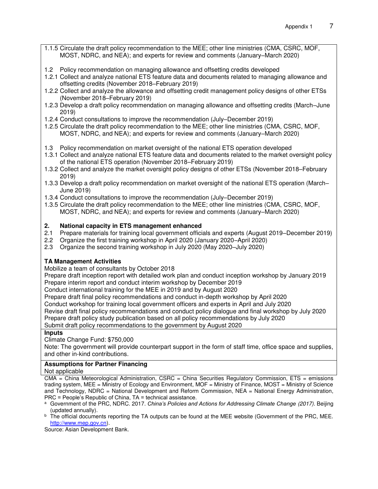- 1.1.5 Circulate the draft policy recommendation to the MEE; other line ministries (CMA, CSRC, MOF, MOST, NDRC, and NEA); and experts for review and comments (January–March 2020)
- 1.2 Policy recommendation on managing allowance and offsetting credits developed
- 1.2.1 Collect and analyze national ETS feature data and documents related to managing allowance and offsetting credits (November 2018–February 2019)
- 1.2.2 Collect and analyze the allowance and offsetting credit management policy designs of other ETSs (November 2018–February 2019)
- 1.2.3 Develop a draft policy recommendation on managing allowance and offsetting credits (March–June 2019)
- 1.2.4 Conduct consultations to improve the recommendation (July–December 2019)
- 1.2.5 Circulate the draft policy recommendation to the MEE; other line ministries (CMA, CSRC, MOF, MOST, NDRC, and NEA); and experts for review and comments (January–March 2020)
- 1.3 Policy recommendation on market oversight of the national ETS operation developed
- 1.3.1 Collect and analyze national ETS feature data and documents related to the market oversight policy of the national ETS operation (November 2018–February 2019)
- 1.3.2 Collect and analyze the market oversight policy designs of other ETSs (November 2018–February 2019)
- 1.3.3 Develop a draft policy recommendation on market oversight of the national ETS operation (March– June 2019)
- 1.3.4 Conduct consultations to improve the recommendation (July–December 2019)
- 1.3.5 Circulate the draft policy recommendation to the MEE; other line ministries (CMA, CSRC, MOF, MOST, NDRC, and NEA); and experts for review and comments (January–March 2020)

## **2. National capacity in ETS management enhanced**

- 2.1 Prepare materials for training local government officials and experts (August 2019–December 2019)
- 2.2 Organize the first training workshop in April 2020 (January 2020–April 2020)
- 2.3 Organize the second training workshop in July 2020 (May 2020–July 2020)

## **TA Management Activities**

Mobilize a team of consultants by October 2018

Prepare draft inception report with detailed work plan and conduct inception workshop by January 2019 Prepare interim report and conduct interim workshop by December 2019

Conduct international training for the MEE in 2019 and by August 2020

Prepare draft final policy recommendations and conduct in-depth workshop by April 2020

Conduct workshop for training local government officers and experts in April and July 2020

Revise draft final policy recommendations and conduct policy dialogue and final workshop by July 2020

Prepare draft policy study publication based on all policy recommendations by July 2020

Submit draft policy recommendations to the government by August 2020

#### **Inputs**

Climate Change Fund: \$750,000

Note: The government will provide counterpart support in the form of staff time, office space and supplies, and other in-kind contributions.

#### **Assumptions for Partner Financing**

Not applicable

 $CMA = China Meteorological Administration$ . CSRC = China Securities Requistory Commission, ETS = emissions trading system, MEE = Ministry of Ecology and Environment, MOF = Ministry of Finance, MOST = Ministry of Science and Technology, NDRC = National Development and Reform Commission, NEA = National Energy Administration, PRC = People's Republic of China, TA = technical assistance.

a Government of the PRC, NDRC. 2017. *China's Policies and Actions for Addressing Climate Change (2017)*. Beijing (updated annually).

b The official documents reporting the TA outputs can be found at the MEE website (Government of the PRC, MEE. [http://www.mep.gov.cn\)](http://www.mep.gov.cn/).

Source: Asian Development Bank.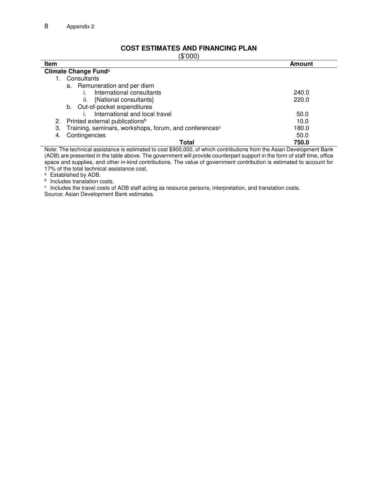# **COST ESTIMATES AND FINANCING PLAN**

| (\$'000)                                                                 |        |  |  |
|--------------------------------------------------------------------------|--------|--|--|
| Item                                                                     | Amount |  |  |
| Climate Change Fund <sup>a</sup>                                         |        |  |  |
| Consultants                                                              |        |  |  |
| a. Remuneration and per diem                                             |        |  |  |
| International consultants                                                | 240.0  |  |  |
| {National consultants}<br>ii.                                            | 220.0  |  |  |
| b. Out-of-pocket expenditures                                            |        |  |  |
| International and local travel                                           | 50.0   |  |  |
| 2. Printed external publications <sup>b</sup>                            | 10.0   |  |  |
| Training, seminars, workshops, forum, and conferences <sup>c</sup><br>3. | 180.0  |  |  |
| Contingencies<br>4.                                                      | 50.0   |  |  |
| Total                                                                    | 750.0  |  |  |

Note: The technical assistance is estimated to cost \$900,000, of which contributions from the Asian Development Bank (ADB) are presented in the table above. The government will provide counterpart support in the form of staff time, office space and supplies, and other in-kind contributions. The value of government contribution is estimated to account for 17% of the total technical assistance cost.

<sup>a</sup> Established by ADB.

**b** Includes translation costs.

c Includes the travel costs of ADB staff acting as resource persons, interpretation, and translation costs. Source: Asian Development Bank estimates.